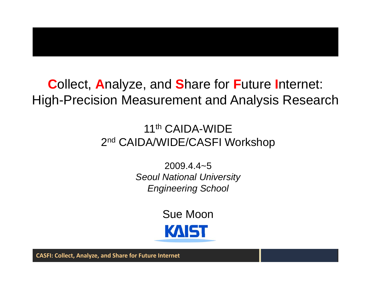#### **Collect, Analyze, and Share for Future Internet: High-Precision Measurement and Analysis Research**

#### 11<sup>th</sup> CAIDA-WIDE 2<sup>nd</sup> CAIDA/WIDE/CASFI Workshop

 $2009.4.4 - 5$ **Seoul National University Engineering School** 

> **Sue Moon KAIST**

**CASFI: Collect, Analyze, and Share for Future Internet**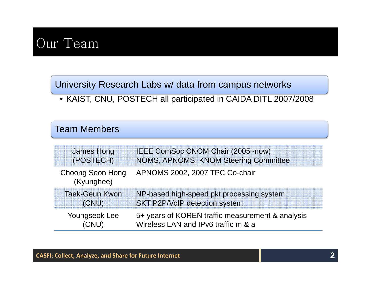### Our Team

University Research Labs w/ data from campus networks

• KAIST, CNU, POSTECH all participated in CAIDA DITL 2007/2008

#### Team Members

| <b>James Hong</b>                     | IEEE ComSoc CNOM Chair (2005~now)                |
|---------------------------------------|--------------------------------------------------|
| (POSTECH)                             | NOMS, APNOMS, KNOM Steering Committee            |
| <b>Choong Seon Hong</b><br>(Kyunghee) | APNOMS 2002, 2007 TPC Co-chair                   |
| <b>Taek-Geun Kwon</b>                 | NP-based high-speed pkt processing system        |
| (CNU)                                 | SKT P2P/VoIP detection system                    |
| Youngseok Lee                         | 5+ years of KOREN traffic measurement & analysis |
| (CNU)                                 | Wireless LAN and IPv6 traffic m & a              |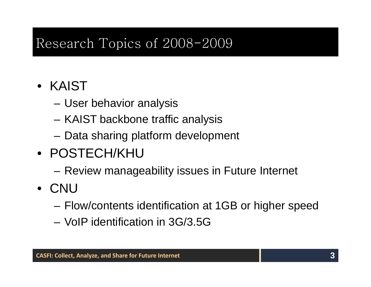#### Research Topics of 2008-2009

#### • KAIST

- –User behavior analysis
- KAIST backbone traffic anal ysis
- Data sharing platform development
- POSTECH/KHU
	- –Review manageability issues in Future Internet
- CNU
	- –Flow/contents identification at 1GB or higher speed
	- VoIP identification in 3G/3.5G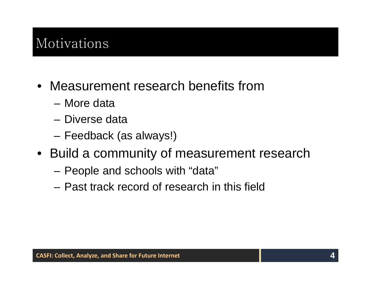## Motivations

- Measurement research benefits from
	- More data
	- Diverse data
	- Feedback (as always!)
- Build a community of measurement research
	- –People and schools with "data"
	- Past track record of research in this field